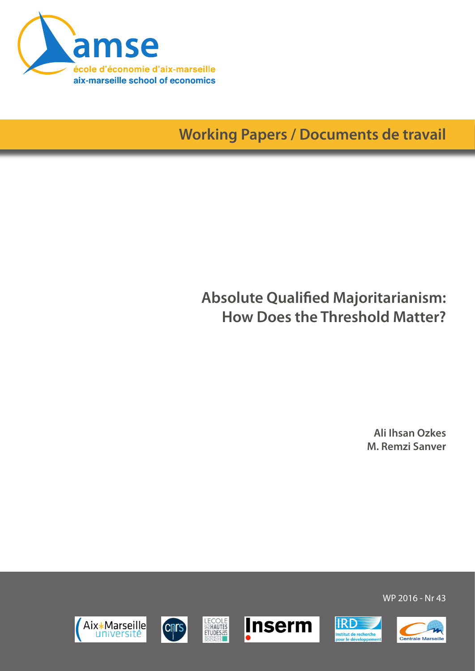

**Working Papers / Documents de travail**

# **Absolute Qualified Majoritarianism: How Does the Threshold Matter?**

**Ali Ihsan Ozkes M. Remzi Sanver**











WP 2016 - Nr 43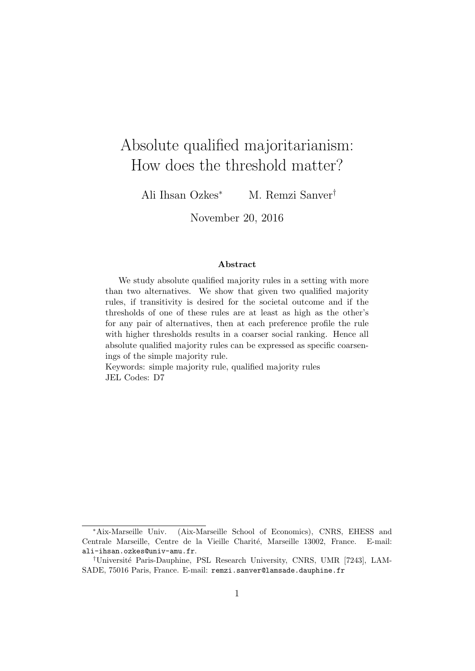# Absolute qualified majoritarianism: How does the threshold matter?

Ali Ihsan Ozkes<sup>∗</sup> M. Remzi Sanver†

November 20, 2016

#### Abstract

We study absolute qualified majority rules in a setting with more than two alternatives. We show that given two qualified majority rules, if transitivity is desired for the societal outcome and if the thresholds of one of these rules are at least as high as the other's for any pair of alternatives, then at each preference profile the rule with higher thresholds results in a coarser social ranking. Hence all absolute qualified majority rules can be expressed as specific coarsenings of the simple majority rule.

Keywords: simple majority rule, qualified majority rules JEL Codes: D7

<sup>∗</sup>Aix-Marseille Univ. (Aix-Marseille School of Economics), CNRS, EHESS and Centrale Marseille, Centre de la Vieille Charité, Marseille 13002, France. E-mail: ali-ihsan.ozkes@univ-amu.fr.

<sup>&</sup>lt;sup>†</sup>Université Paris-Dauphine, PSL Research University, CNRS, UMR [7243], LAM-SADE, 75016 Paris, France. E-mail: remzi.sanver@lamsade.dauphine.fr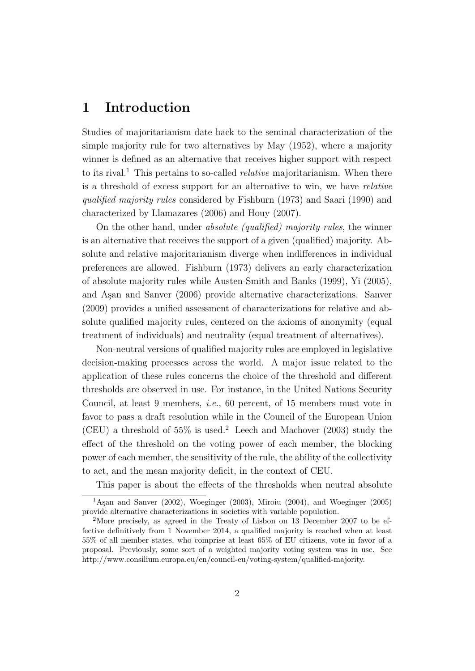## 1 Introduction

Studies of majoritarianism date back to the seminal characterization of the simple majority rule for two alternatives by May (1952), where a majority winner is defined as an alternative that receives higher support with respect to its rival.<sup>1</sup> This pertains to so-called *relative* majoritarianism. When there is a threshold of excess support for an alternative to win, we have relative qualified majority rules considered by Fishburn (1973) and Saari (1990) and characterized by Llamazares (2006) and Houy (2007).

On the other hand, under absolute (qualified) majority rules, the winner is an alternative that receives the support of a given (qualified) majority. Absolute and relative majoritarianism diverge when indifferences in individual preferences are allowed. Fishburn (1973) delivers an early characterization of absolute majority rules while Austen-Smith and Banks (1999), Yi (2005), and Asan and Sanver (2006) provide alternative characterizations. Sanver (2009) provides a unified assessment of characterizations for relative and absolute qualified majority rules, centered on the axioms of anonymity (equal treatment of individuals) and neutrality (equal treatment of alternatives).

Non-neutral versions of qualified majority rules are employed in legislative decision-making processes across the world. A major issue related to the application of these rules concerns the choice of the threshold and different thresholds are observed in use. For instance, in the United Nations Security Council, at least 9 members, i.e., 60 percent, of 15 members must vote in favor to pass a draft resolution while in the Council of the European Union (CEU) a threshold of  $55\%$  is used.<sup>2</sup> Leech and Machover (2003) study the effect of the threshold on the voting power of each member, the blocking power of each member, the sensitivity of the rule, the ability of the collectivity to act, and the mean majority deficit, in the context of CEU.

This paper is about the effects of the thresholds when neutral absolute

 $1<sup>1</sup>$ Aşan and Sanver (2002), Woeginger (2003), Miroiu (2004), and Woeginger (2005) provide alternative characterizations in societies with variable population.

<sup>2</sup>More precisely, as agreed in the Treaty of Lisbon on 13 December 2007 to be effective definitively from 1 November 2014, a qualified majority is reached when at least 55% of all member states, who comprise at least 65% of EU citizens, vote in favor of a proposal. Previously, some sort of a weighted majority voting system was in use. See http://www.consilium.europa.eu/en/council-eu/voting-system/qualified-majority.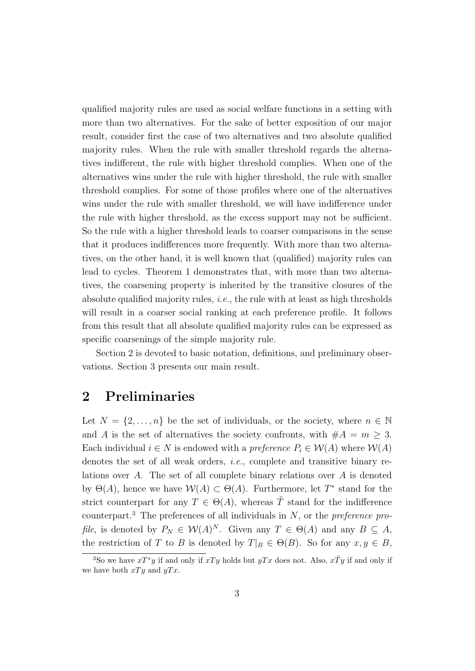qualified majority rules are used as social welfare functions in a setting with more than two alternatives. For the sake of better exposition of our major result, consider first the case of two alternatives and two absolute qualified majority rules. When the rule with smaller threshold regards the alternatives indifferent, the rule with higher threshold complies. When one of the alternatives wins under the rule with higher threshold, the rule with smaller threshold complies. For some of those profiles where one of the alternatives wins under the rule with smaller threshold, we will have indifference under the rule with higher threshold, as the excess support may not be sufficient. So the rule with a higher threshold leads to coarser comparisons in the sense that it produces indifferences more frequently. With more than two alternatives, on the other hand, it is well known that (qualified) majority rules can lead to cycles. Theorem 1 demonstrates that, with more than two alternatives, the coarsening property is inherited by the transitive closures of the absolute qualified majority rules, i.e., the rule with at least as high thresholds will result in a coarser social ranking at each preference profile. It follows from this result that all absolute qualified majority rules can be expressed as specific coarsenings of the simple majority rule.

Section 2 is devoted to basic notation, definitions, and preliminary observations. Section 3 presents our main result.

### 2 Preliminaries

Let  $N = \{2, \ldots, n\}$  be the set of individuals, or the society, where  $n \in \mathbb{N}$ and A is the set of alternatives the society confronts, with  $#A = m \geq 3$ . Each individual  $i \in N$  is endowed with a preference  $P_i \in \mathcal{W}(A)$  where  $\mathcal{W}(A)$ denotes the set of all weak orders, *i.e.*, complete and transitive binary relations over A. The set of all complete binary relations over A is denoted by  $\Theta(A)$ , hence we have  $\mathcal{W}(A) \subset \Theta(A)$ . Furthermore, let  $T^*$  stand for the strict counterpart for any  $T \in \Theta(A)$ , whereas  $\tilde{T}$  stand for the indifference counterpart.<sup>3</sup> The preferences of all individuals in N, or the *preference* profile, is denoted by  $P_N \in W(A)^N$ . Given any  $T \in \Theta(A)$  and any  $B \subseteq A$ , the restriction of T to B is denoted by  $T|_B \in \Theta(B)$ . So for any  $x, y \in B$ ,

<sup>&</sup>lt;sup>3</sup>So we have  $xT^*y$  if and only if  $xTy$  holds but  $yTx$  does not. Also,  $x\tilde{T}y$  if and only if we have both  $xTy$  and  $yTx$ .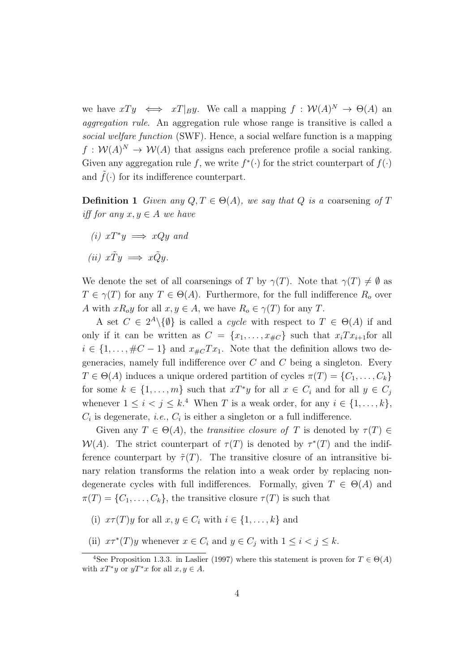we have  $xTy \iff xT|_B y$ . We call a mapping  $f: \mathcal{W}(A)^N \to \Theta(A)$  and aggregation rule. An aggregation rule whose range is transitive is called a social welfare function (SWF). Hence, a social welfare function is a mapping  $f: \mathcal{W}(A)^N \to \mathcal{W}(A)$  that assigns each preference profile a social ranking. Given any aggregation rule f, we write  $f^*(\cdot)$  for the strict counterpart of  $f(\cdot)$ and  $\tilde{f}(\cdot)$  for its indifference counterpart.

**Definition 1** Given any  $Q, T \in \Theta(A)$ , we say that Q is a coarsening of T iff for any  $x, y \in A$  we have

(*i*)  $xT^*y$  ⇒  $xQy$  and

$$
(ii) x\tilde{T}y \implies x\tilde{Q}y.
$$

We denote the set of all coarsenings of T by  $\gamma(T)$ . Note that  $\gamma(T) \neq \emptyset$  as  $T \in \gamma(T)$  for any  $T \in \Theta(A)$ . Furthermore, for the full indifference  $R_o$  over A with  $xR_0y$  for all  $x, y \in A$ , we have  $R_0 \in \gamma(T)$  for any T.

A set  $C \in 2^A \setminus \{ \emptyset \}$  is called a *cycle* with respect to  $T \in \Theta(A)$  if and only if it can be written as  $C = \{x_1, \ldots, x_{\#C}\}\$  such that  $x_i Tx_{i+1}$  for all  $i \in \{1, \ldots, \#C-1\}$  and  $x_{\#C}Tx_1$ . Note that the definition allows two degeneracies, namely full indifference over  $C$  and  $C$  being a singleton. Every  $T \in \Theta(A)$  induces a unique ordered partition of cycles  $\pi(T) = \{C_1, \ldots, C_k\}$ for some  $k \in \{1, \ldots, m\}$  such that  $xT^*y$  for all  $x \in C_i$  and for all  $y \in C_j$ whenever  $1 \leq i < j \leq k$ .<sup>4</sup> When T is a weak order, for any  $i \in \{1, ..., k\}$ ,  $C_i$  is degenerate, *i.e.*,  $C_i$  is either a singleton or a full indifference.

Given any  $T \in \Theta(A)$ , the transitive closure of T is denoted by  $\tau(T) \in$  $W(A)$ . The strict counterpart of  $\tau(T)$  is denoted by  $\tau^{*}(T)$  and the indifference counterpart by  $\tilde{\tau}(T)$ . The transitive closure of an intransitive binary relation transforms the relation into a weak order by replacing nondegenerate cycles with full indifferences. Formally, given  $T \in \Theta(A)$  and  $\pi(T) = \{C_1, \ldots, C_k\}$ , the transitive closure  $\tau(T)$  is such that

- (i)  $x \tau(T) y$  for all  $x, y \in C_i$  with  $i \in \{1, \ldots, k\}$  and
- (ii)  $x\tau^*(T)y$  whenever  $x \in C_i$  and  $y \in C_j$  with  $1 \leq i < j \leq k$ .

<sup>&</sup>lt;sup>4</sup>See Proposition 1.3.3. in Laslier (1997) where this statement is proven for  $T \in \Theta(A)$ with  $xT^*y$  or  $yT^*x$  for all  $x, y \in A$ .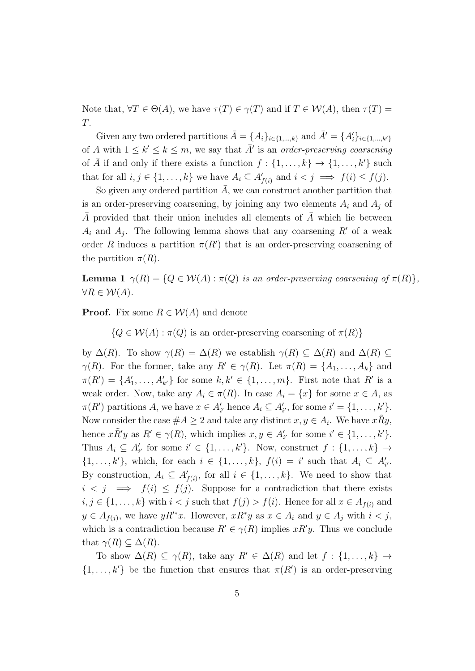Note that,  $\forall T \in \Theta(A)$ , we have  $\tau(T) \in \gamma(T)$  and if  $T \in \mathcal{W}(A)$ , then  $\tau(T) =$ T.

Given any two ordered partitions  $\bar{A} = \{A_i\}_{i \in \{1,\dots,k\}}$  and  $\bar{A}' = \{A'_i\}_{i \in \{1,\dots,k'\}}$ of A with  $1 \leq k' \leq k \leq m$ , we say that  $\overline{A}'$  is an order-preserving coarsening of  $\overline{A}$  if and only if there exists a function  $f : \{1, \ldots, k\} \rightarrow \{1, \ldots, k'\}$  such that for all  $i, j \in \{1, ..., k\}$  we have  $A_i \subseteq A'_{f(i)}$  and  $i < j \implies f(i) \leq f(j)$ .

So given any ordered partition  $\overline{A}$ , we can construct another partition that is an order-preserving coarsening, by joining any two elements  $A_i$  and  $A_j$  of A provided that their union includes all elements of  $A$  which lie between  $A_i$  and  $A_j$ . The following lemma shows that any coarsening R' of a weak order R induces a partition  $\pi(R')$  that is an order-preserving coarsening of the partition  $\pi(R)$ .

**Lemma 1**  $\gamma(R) = \{Q \in \mathcal{W}(A) : \pi(Q)$  is an order-preserving coarsening of  $\pi(R)\},$  $\forall R \in \mathcal{W}(A).$ 

**Proof.** Fix some  $R \in \mathcal{W}(A)$  and denote

 ${Q \in \mathcal{W}(A) : \pi(Q)$  is an order-preserving coarsening of  $\pi(R)$ 

by  $\Delta(R)$ . To show  $\gamma(R) = \Delta(R)$  we establish  $\gamma(R) \subseteq \Delta(R)$  and  $\Delta(R) \subseteq$  $\gamma(R)$ . For the former, take any  $R' \in \gamma(R)$ . Let  $\pi(R) = \{A_1, \ldots, A_k\}$  and  $\pi(R') = \{A'_1, \ldots, A'_{k'}\}$  for some  $k, k' \in \{1, \ldots, m\}$ . First note that  $R'$  is a weak order. Now, take any  $A_i \in \pi(R)$ . In case  $A_i = \{x\}$  for some  $x \in A$ , as  $\pi(R')$  partitions A, we have  $x \in A'_{i'}$  hence  $A_i \subseteq A'_{i'}$ , for some  $i' = \{1, \ldots, k'\}.$ Now consider the case  $\#A \geq 2$  and take any distinct  $x, y \in A_i$ . We have  $x\tilde{R}y$ , hence  $x\tilde{R}'y$  as  $R' \in \gamma(R)$ , which implies  $x, y \in A'_{i'}$  for some  $i' \in \{1, ..., k'\}$ . Thus  $A_i \subseteq A'_{i'}$  for some  $i' \in \{1, ..., k'\}$ . Now, construct  $f : \{1, ..., k\} \rightarrow$  $\{1,\ldots,k'\}$ , which, for each  $i \in \{1,\ldots,k\}$ ,  $f(i) = i'$  such that  $A_i \subseteq A'_{i'}$ . By construction,  $A_i \subseteq A'_{f(i)}$ , for all  $i \in \{1, ..., k\}$ . We need to show that  $i < j \implies f(i) \leq f(j)$ . Suppose for a contradiction that there exists  $i, j \in \{1, \ldots, k\}$  with  $i < j$  such that  $f(j) > f(i)$ . Hence for all  $x \in A_{f(i)}$  and  $y \in A_{f(j)}$ , we have  $yR'^*x$ . However,  $xR^*y$  as  $x \in A_i$  and  $y \in A_j$  with  $i < j$ , which is a contradiction because  $R' \in \gamma(R)$  implies  $xR'y$ . Thus we conclude that  $\gamma(R) \subseteq \Delta(R)$ .

To show  $\Delta(R) \subseteq \gamma(R)$ , take any  $R' \in \Delta(R)$  and let  $f : \{1, \ldots, k\} \rightarrow$  $\{1,\ldots,k'\}$  be the function that ensures that  $\pi(R')$  is an order-preserving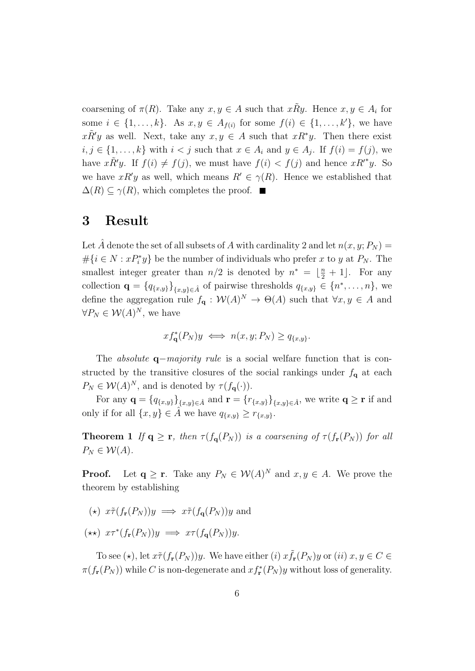coarsening of  $\pi(R)$ . Take any  $x, y \in A$  such that  $x \tilde{R} y$ . Hence  $x, y \in A_i$  for some  $i \in \{1, \ldots, k\}$ . As  $x, y \in A_{f(i)}$  for some  $f(i) \in \{1, \ldots, k'\}$ , we have  $x\tilde{R}'y$  as well. Next, take any  $x, y \in A$  such that  $xR^*y$ . Then there exist  $i, j \in \{1, \ldots, k\}$  with  $i < j$  such that  $x \in A_i$  and  $y \in A_j$ . If  $f(i) = f(j)$ , we have  $x \tilde{R}' y$ . If  $f(i) \neq f(j)$ , we must have  $f(i) < f(j)$  and hence  $x R'^* y$ . So we have  $xR'y$  as well, which means  $R' \in \gamma(R)$ . Hence we established that  $\Delta(R) \subseteq \gamma(R)$ , which completes the proof.  $\blacksquare$ 

#### 3 Result

Let A denote the set of all subsets of A with cardinality 2 and let  $n(x, y; P_N) =$  $\#\{i \in N : xP_i^*y\}$  be the number of individuals who prefer x to y at  $P_N$ . The smallest integer greater than  $n/2$  is denoted by  $n^* = \lfloor \frac{n}{2} + 1 \rfloor$ . For any collection  $\mathbf{q} = \{q_{\{x,y\}}\}_{\{x,y\}\in \hat{A}}$  of pairwise thresholds  $q_{\{x,y\}} \in \{n^*, \ldots, n\}$ , we define the aggregation rule  $f_{\mathbf{q}}: \mathcal{W}(A)^N \to \Theta(A)$  such that  $\forall x, y \in A$  and  $\forall P_N \in \mathcal{W}(A)^N$ , we have

$$
xf_{\mathbf{q}}^*(P_N)y \iff n(x, y; P_N) \ge q_{\{x, y\}}.
$$

The *absolute* **q**−majority rule is a social welfare function that is constructed by the transitive closures of the social rankings under  $f_{\mathbf{q}}$  at each  $P_N \in \mathcal{W}(A)^N$ , and is denoted by  $\tau(f_{\mathbf{q}}(\cdot)).$ 

For any  $\mathbf{q} = \{q_{\{x,y\}}\}_{\{x,y\}\in \hat{A}}$  and  $\mathbf{r} = \{r_{\{x,y\}}\}_{\{x,y\}\in \hat{A}}$ , we write  $\mathbf{q} \geq \mathbf{r}$  if and only if for all  $\{x, y\} \in \hat{A}$  we have  $q_{\{x, y\}} \geq r_{\{x, y\}}$ .

**Theorem 1** If  $q \ge r$ , then  $\tau(f_q(P_N))$  is a coarsening of  $\tau(f_r(P_N))$  for all  $P_N \in \mathcal{W}(A)$ .

**Proof.** Let  $q \ge r$ . Take any  $P_N \in \mathcal{W}(A)^N$  and  $x, y \in A$ . We prove the theorem by establishing

- $(\star)$   $x \tilde{\tau}(f_r(P_N))y \implies x \tilde{\tau}(f_\alpha(P_N))y$  and
- $(\star \star)$   $x \tau^*(f_{\mathbf{r}}(P_N))y \implies x \tau(f_{\mathbf{q}}(P_N))y.$

To see ( $\star$ ), let  $x \tilde{\tau}(f_{\mathbf{r}}(P_N))y$ . We have either (i)  $x \tilde{f}_{\mathbf{r}}(P_N)y$  or (ii)  $x, y \in C$  $\pi(f_{\mathbf{r}}(P_N))$  while C is non-degenerate and  $xf_{\mathbf{r}}^*(P_N)y$  without loss of generality.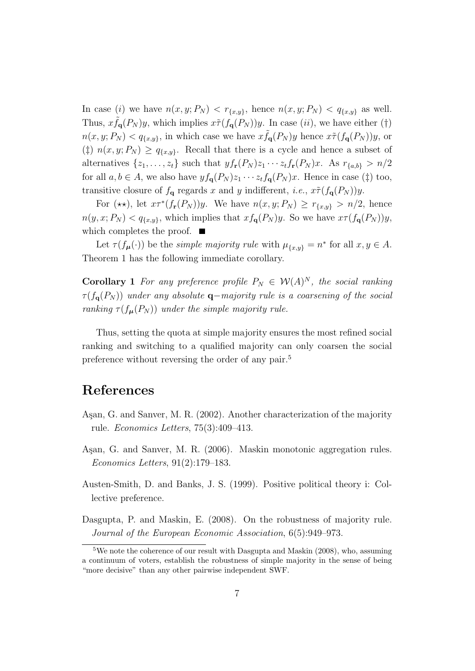In case (i) we have  $n(x, y; P_N) < r_{\{x, y\}}$ , hence  $n(x, y; P_N) < q_{\{x, y\}}$  as well. Thus,  $x \tilde{f}_{q}(P_N) y$ , which implies  $x \tilde{\tau}(f_{q}(P_N)) y$ . In case (*ii*), we have either (†)  $n(x, y; P_N) < q_{\{x, y\}}$ , in which case we have  $x \tilde{f}_{q}(P_N) y$  hence  $x \tilde{\tau}(f_{q}(P_N)) y$ , or (‡)  $n(x, y; P_N) \geq q_{\{x, y\}}$ . Recall that there is a cycle and hence a subset of alternatives  $\{z_1, \ldots, z_t\}$  such that  $y f_{\mathbf{r}}(P_N) z_1 \cdots z_t f_{\mathbf{r}}(P_N) x$ . As  $r_{\{a,b\}} > n/2$ for all  $a, b \in A$ , we also have  $y f_{\mathbf{q}}(P_N) z_1 \cdots z_t f_{\mathbf{q}}(P_N) x$ . Hence in case (‡) too, transitive closure of  $f_{\mathbf{q}}$  regards x and y indifferent, *i.e.*,  $x \tilde{\tau}(f_{\mathbf{q}}(P_N))y$ .

For  $(\star \star)$ , let  $x \tau^*(f_{\mathbf{r}}(P_N))y$ . We have  $n(x, y; P_N) \geq r_{\{x, y\}} > n/2$ , hence  $n(y, x; P_N) < q_{\{x, y\}}$ , which implies that  $xf_{\mathbf{q}}(P_N)y$ . So we have  $x \tau(f_{\mathbf{q}}(P_N))y$ , which completes the proof.  $\blacksquare$ 

Let  $\tau(f_{\mu}(\cdot))$  be the *simple majority rule* with  $\mu_{\{x,y\}} = n^*$  for all  $x, y \in A$ . Theorem 1 has the following immediate corollary.

**Corollary 1** For any preference profile  $P_N \in W(A)^N$ , the social ranking  $\tau(f_{\mathbf{q}}(P_N))$  under any absolute  $\mathbf{q}-$ majority rule is a coarsening of the social ranking  $\tau(f_{\mu}(P_N))$  under the simple majority rule.

Thus, setting the quota at simple majority ensures the most refined social ranking and switching to a qualified majority can only coarsen the social preference without reversing the order of any pair.<sup>5</sup>

### References

- Aşan, G. and Sanver, M. R. (2002). Another characterization of the majority rule. Economics Letters, 75(3):409–413.
- Aşan, G. and Sanver, M. R. (2006). Maskin monotonic aggregation rules. Economics Letters, 91(2):179–183.
- Austen-Smith, D. and Banks, J. S. (1999). Positive political theory i: Collective preference.
- Dasgupta, P. and Maskin, E. (2008). On the robustness of majority rule. Journal of the European Economic Association, 6(5):949–973.

<sup>5</sup>We note the coherence of our result with Dasgupta and Maskin (2008), who, assuming a continuum of voters, establish the robustness of simple majority in the sense of being "more decisive" than any other pairwise independent SWF.